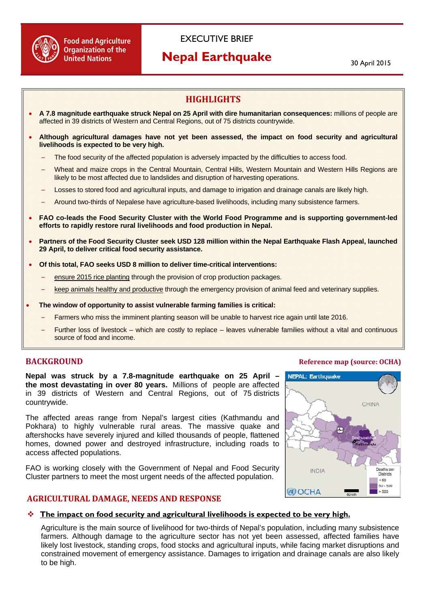

# EXECUTIVE BRIEF

# **Nepal Earthquake**

30 April 2015

# **HIGHLIGHTS**

- **A 7.8 magnitude earthquake struck Nepal on 25 April with dire humanitarian consequences:** millions of people are affected in 39 districts of Western and Central Regions, out of 75 districts countrywide.
- **Although agricultural damages have not yet been assessed, the impact on food security and agricultural livelihoods is expected to be very high.** 
	- The food security of the affected population is adversely impacted by the difficulties to access food.
	- Wheat and maize crops in the Central Mountain, Central Hills, Western Mountain and Western Hills Regions are likely to be most affected due to landslides and disruption of harvesting operations.
	- Losses to stored food and agricultural inputs, and damage to irrigation and drainage canals are likely high.
	- Around two-thirds of Nepalese have agriculture-based livelihoods, including many subsistence farmers.
- **FAO co-leads the Food Security Cluster with the World Food Programme and is supporting government-led efforts to rapidly restore rural livelihoods and food production in Nepal.**
- **Partners of the Food Security Cluster seek USD 128 million within the Nepal Earthquake Flash Appeal, launched 29 April, to deliver critical food security assistance.**
- **Of this total, FAO seeks USD 8 million to deliver time-critical interventions:** 
	- ensure 2015 rice planting through the provision of crop production packages.
	- keep animals healthy and productive through the emergency provision of animal feed and veterinary supplies.
- **The window of opportunity to assist vulnerable farming families is critical:** 
	- Farmers who miss the imminent planting season will be unable to harvest rice again until late 2016.
	- Further loss of livestock which are costly to replace leaves vulnerable families without a vital and continuous source of food and income.

**Nepal was struck by a 7.8-magnitude earthquake on 25 April – the most devastating in over 80 years.** Millions of people are affected in 39 districts of Western and Central Regions, out of 75 districts countrywide.

The affected areas range from Nepal's largest cities (Kathmandu and Pokhara) to highly vulnerable rural areas. The massive quake and aftershocks have severely injured and killed thousands of people, flattened homes, downed power and destroyed infrastructure, including roads to access affected populations.

FAO is working closely with the Government of Nepal and Food Security Cluster partners to meet the most urgent needs of the affected population.

#### **AGRICULTURAL DAMAGE, NEEDS AND RESPONSE**



#### **The impact on food security and agricultural livelihoods is expected to be very high.**

Agriculture is the main source of livelihood for two-thirds of Nepal's population, including many subsistence farmers. Although damage to the agriculture sector has not yet been assessed, affected families have likely lost livestock, standing crops, food stocks and agricultural inputs, while facing market disruptions and constrained movement of emergency assistance. Damages to irrigation and drainage canals are also likely to be high.

## **BACKGROUND Reference map (source: OCHA)**